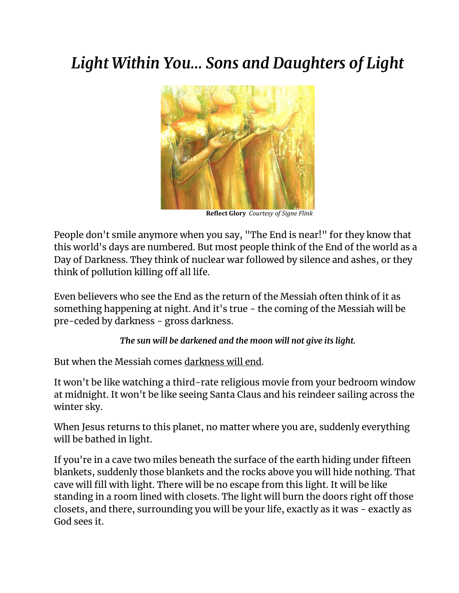# *Light Within You… Sons and Daughters of Light*



 **Reflect Glory** *Courtesy of Signe Flink*

People don't smile anymore when you say, "The End is near!" for they know that this world's days are numbered. But most people think of the End of the world as a Day of Darkness. They think of nuclear war followed by silence and ashes, or they think of pollution killing off all life.

Even believers who see the End as the return of the Messiah often think of it as something happening at night. And it's true - the coming of the Messiah will be pre-ceded by darkness - gross darkness.

*The sun will be darkened and the moon will not give its light.*

But when the Messiah comes darkness will end.

It won't be like watching a third-rate religious movie from your bedroom window at midnight. It won't be like seeing Santa Claus and his reindeer sailing across the winter sky.

When Jesus returns to this planet, no matter where you are, suddenly everything will be bathed in light.

If you're in a cave two miles beneath the surface of the earth hiding under fifteen blankets, suddenly those blankets and the rocks above you will hide nothing. That cave will fill with light. There will be no escape from this light. It will be like standing in a room lined with closets. The light will burn the doors right off those closets, and there, surrounding you will be your life, exactly as it was - exactly as God sees it.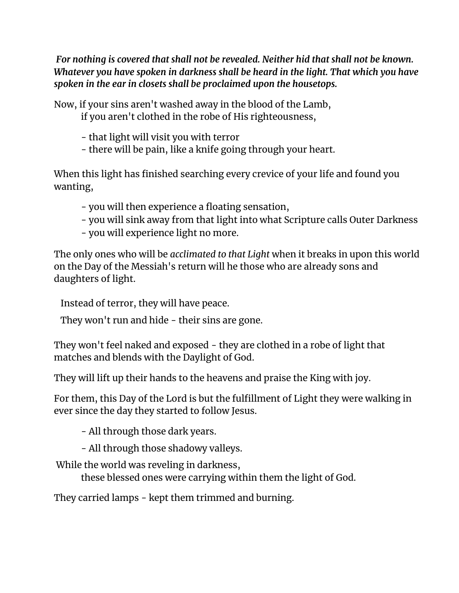*For nothing is covered that shall not be revealed. Neither hid that shall not be known. Whatever you have spoken in darkness shall be heard in the light. That which you have spoken in the ear in closets shall be proclaimed upon the housetops.*

Now, if your sins aren't washed away in the blood of the Lamb,

if you aren't clothed in the robe of His righteousness,

- that light will visit you with terror
- there will be pain, like a knife going through your heart.

When this light has finished searching every crevice of your life and found you wanting,

- you will then experience a floating sensation,
- you will sink away from that light into what Scripture calls Outer Darkness
- you will experience light no more.

The only ones who will be *acclimated to that Light* when it breaks in upon this world on the Day of the Messiah's return will he those who are already sons and daughters of light.

Instead of terror, they will have peace.

They won't run and hide - their sins are gone.

They won't feel naked and exposed - they are clothed in a robe of light that matches and blends with the Daylight of God.

They will lift up their hands to the heavens and praise the King with joy.

For them, this Day of the Lord is but the fulfillment of Light they were walking in ever since the day they started to follow Jesus.

- All through those dark years.

- All through those shadowy valleys.

While the world was reveling in darkness,

these blessed ones were carrying within them the light of God.

They carried lamps - kept them trimmed and burning.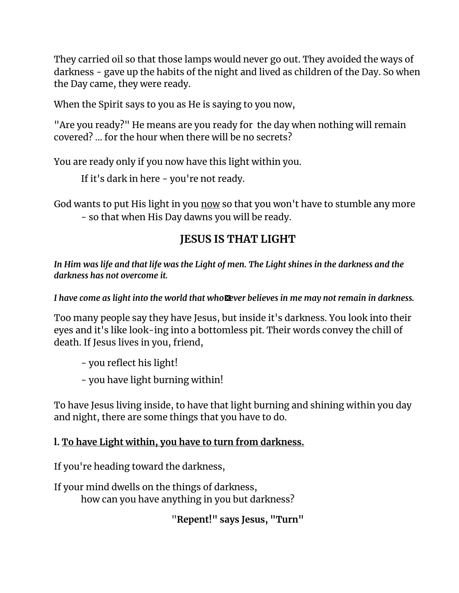They carried oil so that those lamps would never go out. They avoided the ways of darkness - gave up the habits of the night and lived as children of the Day. So when the Day came, they were ready.

When the Spirit says to you as He is saying to you now,

"Are you ready?" He means are you ready for the day when nothing will remain covered? ... for the hour when there will be no secrets?

You are ready only if you now have this light within you.

If it's dark in here - you're not ready.

God wants to put His light in you now so that you won't have to stumble any more - so that when His Day dawns you will be ready.

# **JESUS IS THAT LIGHT**

*In Him was life and that life was the Light of men. The Light shines in the darkness and the darkness has not overcome it.*

*I have come as light into the world that who-ever believes in me may not remain in darkness.*

Too many people say they have Jesus, but inside it's darkness. You look into their eyes and it's like look-ing into a bottomless pit. Their words convey the chill of death. If Jesus lives in you, friend,

- you reflect his light!

- you have light burning within!

To have Jesus living inside, to have that light burning and shining within you day and night, there are some things that you have to do.

# **l. To have Light within, you have to turn from darkness.**

If you're heading toward the darkness,

If your mind dwells on the things of darkness, how can you have anything in you but darkness?

"**Repent!" says Jesus, "Turn"**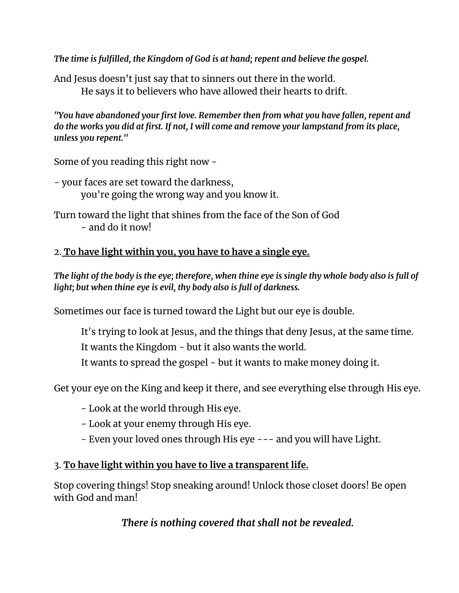*The time is fulfilled, the Kingdom of God is at hand; repent and believe the gospel.*

And Jesus doesn't just say that to sinners out there in the world. He says it to believers who have allowed their hearts to drift.

*"You have abandoned your first love. Remember then from what you have fallen, repent and do the works you did at first. If not, I will come and remove your lampstand from its place, unless you repent.''*

Some of you reading this right now -

- your faces are set toward the darkness, you're going the wrong way and you know it.
- Turn toward the light that shines from the face of the Son of God - and do it now!

#### 2. **To have light within you, you have to have a single eye.**

*The light of the body is the eye; therefore, when thine eye is single thy whole body also is full of light; but when thine eye is evil, thy body also is full of darkness.*

Sometimes our face is turned toward the Light but our eye is double.

It's trying to look at Jesus, and the things that deny Jesus, at the same time. It wants the Kingdom - but it also wants the world.

It wants to spread the gospel - but it wants to make money doing it.

Get your eye on the King and keep it there, and see everything else through His eye.

- Look at the world through His eye.
- Look at your enemy through His eye.
- Even your loved ones through His eye --- and you will have Light.

#### 3. **To have light within you have to live a transparent life.**

Stop covering things! Stop sneaking around! Unlock those closet doors! Be open with God and man!

# *There is nothing covered that shall not be revealed.*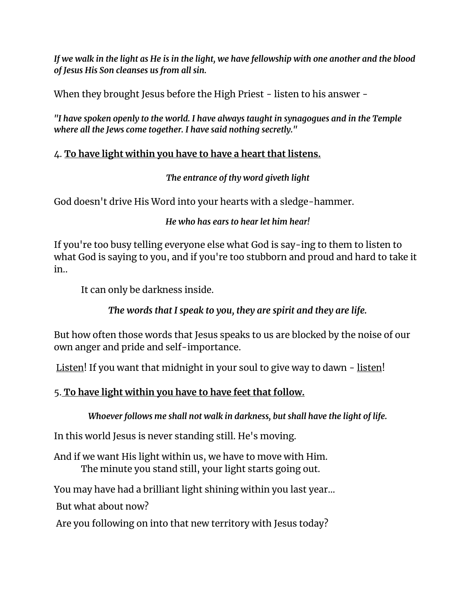*If we walk in the light as He is in the light, we have fellowship with one another and the blood of Jesus His Son cleanses us from all sin.*

When they brought Jesus before the High Priest - listen to his answer -

*"I have spoken openly to the world. I have always taught in synagogues and in the Temple where all the Jews come together. I have said nothing secretly."*

#### 4. **To have light within you have to have a heart that listens.**

*The entrance of thy word giveth light*

God doesn't drive His Word into your hearts with a sledge-hammer.

*He who has ears to hear let him hear!*

If you're too busy telling everyone else what God is say-ing to them to listen to what God is saying to you, and if you're too stubborn and proud and hard to take it in..

It can only be darkness inside.

*The words that I speak to you, they are spirit and they are life.*

But how often those words that Jesus speaks to us are blocked by the noise of our own anger and pride and self-importance.

Listen! If you want that midnight in your soul to give way to dawn - listen!

# 5. **To have light within you have to have feet that follow.**

*Whoever follows me shall not walk in darkness, but shall have the light of life.*

In this world Jesus is never standing still. He's moving.

And if we want His light within us, we have to move with Him. The minute you stand still, your light starts going out.

You may have had a brilliant light shining within you last year...

But what about now?

Are you following on into that new territory with Jesus today?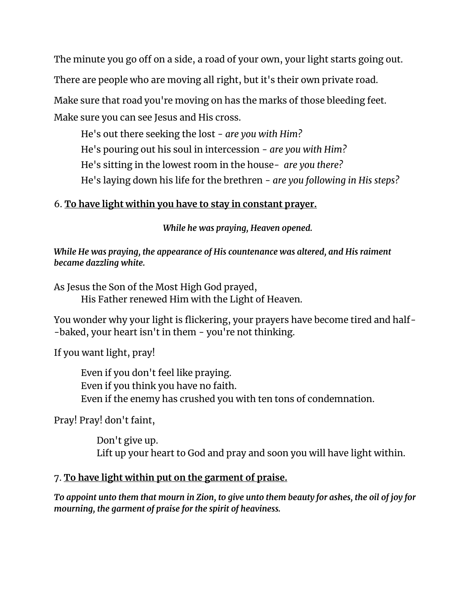The minute you go off on a side, a road of your own, your light starts going out. There are people who are moving all right, but it's their own private road.

Make sure that road you're moving on has the marks of those bleeding feet. Make sure you can see Jesus and His cross.

He's out there seeking the lost - *are you with Him?* He's pouring out his soul in intercession - *are you with Him?* He's sitting in the lowest room in the house- *are you there?* He's laying down his life for the brethren - *are you following in His steps?*

#### 6. **To have light within you have to stay in constant prayer.**

*While he was praying, Heaven opened.*

*While He was praying, the appearance of His countenance was altered, and His raiment became dazzling white.*

As Jesus the Son of the Most High God prayed, His Father renewed Him with the Light of Heaven.

You wonder why your light is flickering, your prayers have become tired and half- -baked, your heart isn't in them - you're not thinking.

If you want light, pray!

Even if you don't feel like praying. Even if you think you have no faith. Even if the enemy has crushed you with ten tons of condemnation.

Pray! Pray! don't faint,

Don't give up. Lift up your heart to God and pray and soon you will have light within.

# 7. **To have light within put on the garment of praise.**

*To appoint unto them that mourn in Zion, to give unto them beauty for ashes, the oil of joy for mourning, the garment of praise for the spirit of heaviness.*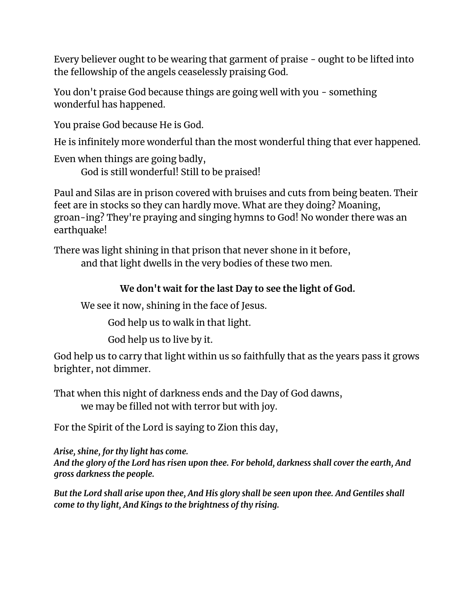Every believer ought to be wearing that garment of praise - ought to be lifted into the fellowship of the angels ceaselessly praising God.

You don't praise God because things are going well with you - something wonderful has happened.

You praise God because He is God.

He is infinitely more wonderful than the most wonderful thing that ever happened.

Even when things are going badly,

God is still wonderful! Still to be praised!

Paul and Silas are in prison covered with bruises and cuts from being beaten. Their feet are in stocks so they can hardly move. What are they doing? Moaning, groan-ing? They're praying and singing hymns to God! No wonder there was an earthquake!

There was light shining in that prison that never shone in it before, and that light dwells in the very bodies of these two men.

# **We don't wait for the last Day to see the light of God.**

We see it now, shining in the face of Jesus.

God help us to walk in that light.

God help us to live by it.

God help us to carry that light within us so faithfully that as the years pass it grows brighter, not dimmer.

That when this night of darkness ends and the Day of God dawns,

we may be filled not with terror but with joy.

For the Spirit of the Lord is saying to Zion this day,

*Arise, shine, for thy light has come. And the glory of the Lord has risen upon thee. For behold, darkness shall cover the earth, And gross darkness the people.*

*But the Lord shall arise upon thee, And His glory shall be seen upon thee. And Gentiles shall come to thy light, And Kings to the brightness of thy rising.*